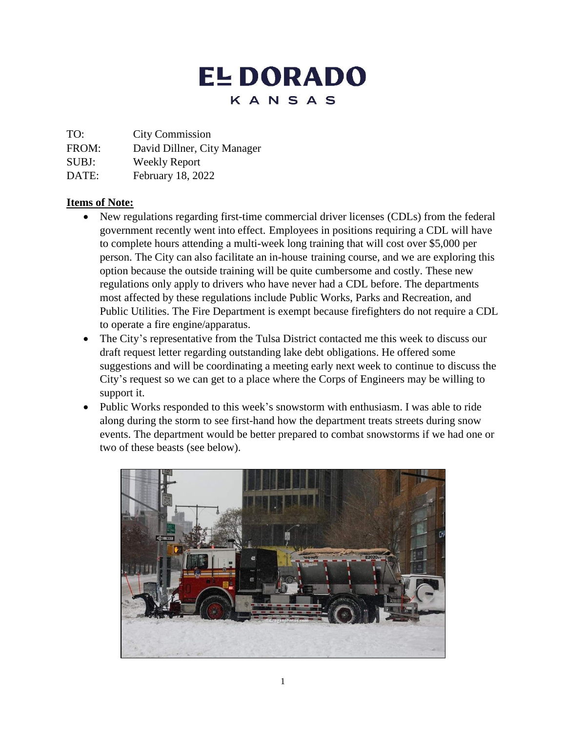# **EL DORADO** KANSAS

TO: City Commission

FROM: David Dillner, City Manager

SUBJ: Weekly Report

DATE: February 18, 2022

# **Items of Note:**

- New regulations regarding first-time commercial driver licenses (CDLs) from the federal government recently went into effect. Employees in positions requiring a CDL will have to complete hours attending a multi-week long training that will cost over \$5,000 per person. The City can also facilitate an in-house training course, and we are exploring this option because the outside training will be quite cumbersome and costly. These new regulations only apply to drivers who have never had a CDL before. The departments most affected by these regulations include Public Works, Parks and Recreation, and Public Utilities. The Fire Department is exempt because firefighters do not require a CDL to operate a fire engine/apparatus.
- The City's representative from the Tulsa District contacted me this week to discuss our draft request letter regarding outstanding lake debt obligations. He offered some suggestions and will be coordinating a meeting early next week to continue to discuss the City's request so we can get to a place where the Corps of Engineers may be willing to support it.
- Public Works responded to this week's snowstorm with enthusiasm. I was able to ride along during the storm to see first-hand how the department treats streets during snow events. The department would be better prepared to combat snowstorms if we had one or two of these beasts (see below).

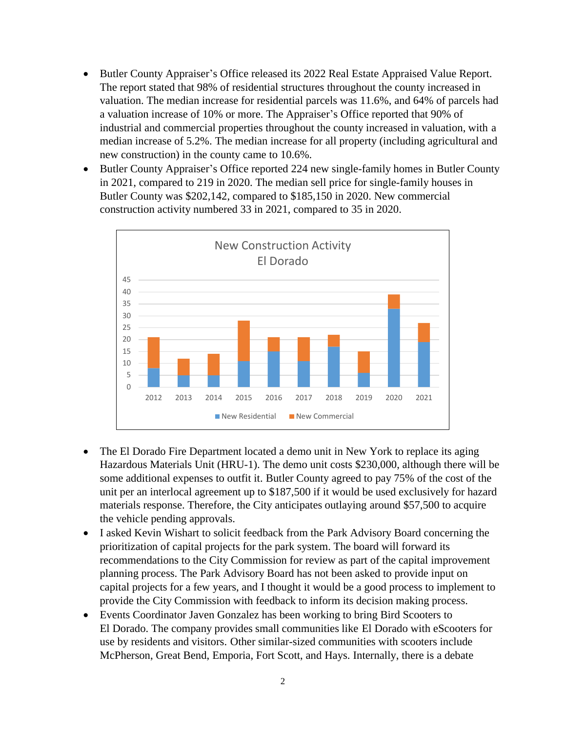- Butler County Appraiser's Office released its 2022 Real Estate Appraised Value Report. The report stated that 98% of residential structures throughout the county increased in valuation. The median increase for residential parcels was 11.6%, and 64% of parcels had a valuation increase of 10% or more. The Appraiser's Office reported that 90% of industrial and commercial properties throughout the county increased in valuation, with a median increase of 5.2%. The median increase for all property (including agricultural and new construction) in the county came to 10.6%.
- Butler County Appraiser's Office reported 224 new single-family homes in Butler County in 2021, compared to 219 in 2020. The median sell price for single-family houses in Butler County was \$202,142, compared to \$185,150 in 2020. New commercial construction activity numbered 33 in 2021, compared to 35 in 2020.



- The El Dorado Fire Department located a demo unit in New York to replace its aging Hazardous Materials Unit (HRU-1). The demo unit costs \$230,000, although there will be some additional expenses to outfit it. Butler County agreed to pay 75% of the cost of the unit per an interlocal agreement up to \$187,500 if it would be used exclusively for hazard materials response. Therefore, the City anticipates outlaying around \$57,500 to acquire the vehicle pending approvals.
- I asked Kevin Wishart to solicit feedback from the Park Advisory Board concerning the prioritization of capital projects for the park system. The board will forward its recommendations to the City Commission for review as part of the capital improvement planning process. The Park Advisory Board has not been asked to provide input on capital projects for a few years, and I thought it would be a good process to implement to provide the City Commission with feedback to inform its decision making process.
- Events Coordinator Javen Gonzalez has been working to bring Bird Scooters to El Dorado. The company provides small communities like El Dorado with eScooters for use by residents and visitors. Other similar-sized communities with scooters include McPherson, Great Bend, Emporia, Fort Scott, and Hays. Internally, there is a debate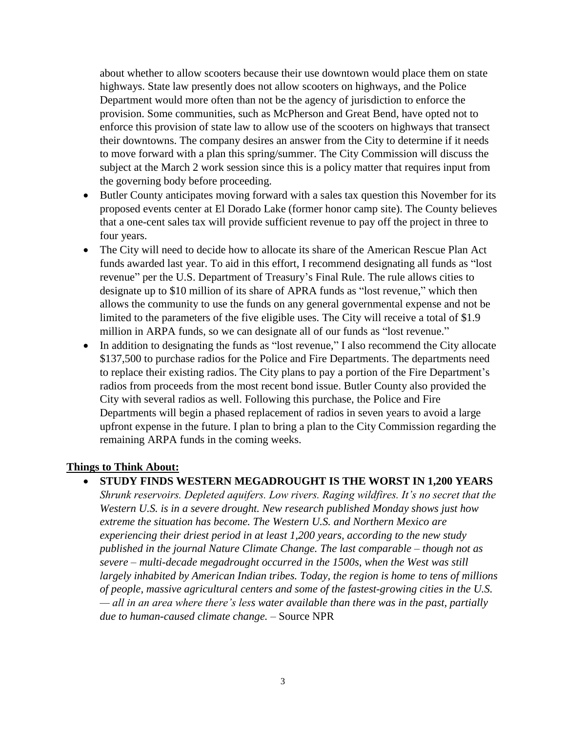about whether to allow scooters because their use downtown would place them on state highways. State law presently does not allow scooters on highways, and the Police Department would more often than not be the agency of jurisdiction to enforce the provision. Some communities, such as McPherson and Great Bend, have opted not to enforce this provision of state law to allow use of the scooters on highways that transect their downtowns. The company desires an answer from the City to determine if it needs to move forward with a plan this spring/summer. The City Commission will discuss the subject at the March 2 work session since this is a policy matter that requires input from the governing body before proceeding.

- Butler County anticipates moving forward with a sales tax question this November for its proposed events center at El Dorado Lake (former honor camp site). The County believes that a one-cent sales tax will provide sufficient revenue to pay off the project in three to four years.
- The City will need to decide how to allocate its share of the American Rescue Plan Act funds awarded last year. To aid in this effort, I recommend designating all funds as "lost revenue" per the U.S. Department of Treasury's Final Rule. The rule allows cities to designate up to \$10 million of its share of APRA funds as "lost revenue," which then allows the community to use the funds on any general governmental expense and not be limited to the parameters of the five eligible uses. The City will receive a total of \$1.9 million in ARPA funds, so we can designate all of our funds as "lost revenue."
- In addition to designating the funds as "lost revenue," I also recommend the City allocate \$137,500 to purchase radios for the Police and Fire Departments. The departments need to replace their existing radios. The City plans to pay a portion of the Fire Department's radios from proceeds from the most recent bond issue. Butler County also provided the City with several radios as well. Following this purchase, the Police and Fire Departments will begin a phased replacement of radios in seven years to avoid a large upfront expense in the future. I plan to bring a plan to the City Commission regarding the remaining ARPA funds in the coming weeks.

#### **Things to Think About:**

• **STUDY FINDS WESTERN MEGADROUGHT IS THE WORST IN 1,200 YEARS**

*Shrunk reservoirs. Depleted aquifers. Low rivers. Raging wildfires. It's no secret that the Western U.S. is in a severe drought. New research published Monday shows just how extreme the situation has become. The Western U.S. and Northern Mexico are experiencing their driest period in at least 1,200 years, according to the new study published in the journal Nature Climate Change. The last comparable – though not as severe – multi-decade megadrought occurred in the 1500s, when the West was still largely inhabited by American Indian tribes. Today, the region is home to tens of millions of people, massive agricultural centers and some of the fastest-growing cities in the U.S. — all in an area where there's less water available than there was in the past, partially due to human-caused climate change.* – Source NPR